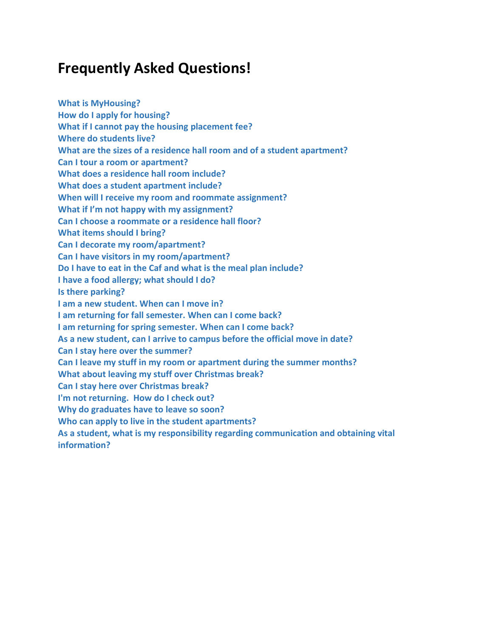# **Frequently Asked Questions!**

**What is MyHousing? How do I apply for housing? What if I cannot pay the housing placement fee? Where do students live? What are the sizes of a residence hall room and of a student apartment? Can I tour a room or apartment? What does a residence hall room include? What does a student apartment include? When will I receive my room and roommate assignment? What if I'm not happy with my assignment? Can I choose a roommate or a residence hall floor? What items should I bring? Can I decorate my room/apartment? Can I have visitors in my room/apartment? Do I have to eat in the Caf and what is the meal plan include? I have a food allergy; what should I do? Is there parking? I am a new student. When can I move in? I am returning for fall semester. When can I come back? I am returning for spring semester. When can I come back? As a new student, can I arrive to campus before the official move in date? Can I stay here over the summer? Can I leave my stuff in my room or apartment during the summer months? What about leaving my stuff over Christmas break? Can I stay here over Christmas break? I'm not returning. How do I check out? Why do graduates have to leave so soon? Who can apply to live in the student apartments? As a student, what is my responsibility regarding communication and obtaining vital information?**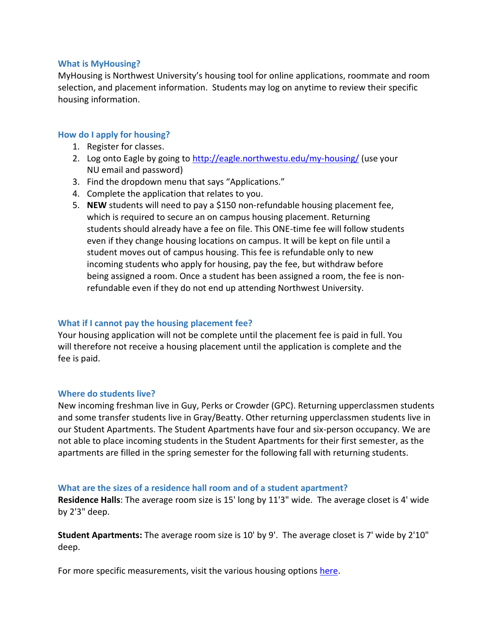# **What is MyHousing?**

MyHousing is Northwest University's housing tool for online applications, roommate and room selection, and placement information. Students may log on anytime to review their specific housing information.

# **How do I apply for housing?**

- 1. Register for classes.
- 2. Log onto Eagle by going to<http://eagle.northwestu.edu/my-housing/> (use your NU email and password)
- 3. Find the dropdown menu that says "Applications."
- 4. Complete the application that relates to you.
- 5. **NEW** students will need to pay a \$150 non-refundable housing placement fee, which is required to secure an on campus housing placement. Returning students should already have a fee on file. This ONE-time fee will follow students even if they change housing locations on campus. It will be kept on file until a student moves out of campus housing. This fee is refundable only to new incoming students who apply for housing, pay the fee, but withdraw before being assigned a room. Once a student has been assigned a room, the fee is nonrefundable even if they do not end up attending Northwest University.

# **What if I cannot pay the housing placement fee?**

Your housing application will not be complete until the placement fee is paid in full. You will therefore not receive a housing placement until the application is complete and the fee is paid.

# **Where do students live?**

New incoming freshman live in Guy, Perks or Crowder (GPC). Returning upperclassmen students and some transfer students live in Gray/Beatty. Other returning upperclassmen students live in our Student Apartments. The Student Apartments have four and six-person occupancy. We are not able to place incoming students in the Student Apartments for their first semester, as the apartments are filled in the spring semester for the following fall with returning students.

# **What are the sizes of a residence hall room and of a student apartment?**

**Residence Halls**: The average room size is 15' long by 11'3" wide. The average closet is 4' wide by 2'3" deep.

**Student Apartments:** The average room size is 10' by 9'. The average closet is 7' wide by 2'10" deep.

For more specific measurements, visit the various housing options [here.](http://eagle.northwestu.edu/departments/housing/housing-options/)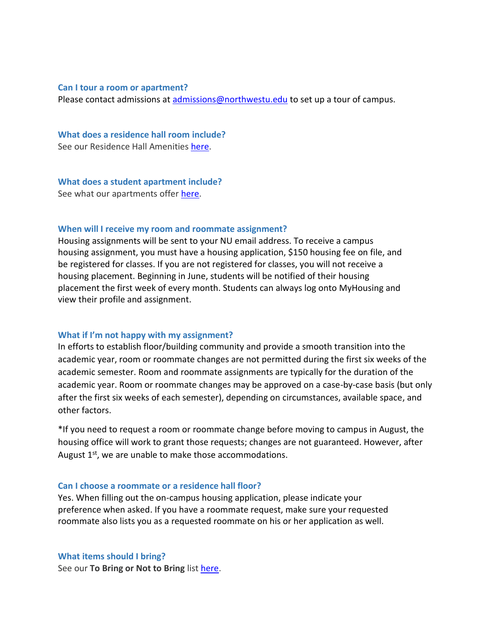#### **Can I tour a room or apartment?**

Please contact admissions at [admissions@northwestu.edu](mailto:admissions@northwestu.edu) to set up a tour of campus.

**What does a residence hall room include?** See our Residence Hall Amenities [here.](http://eagle.northwestu.edu/departments/housing/residence-hall-amenities/)

**What does a student apartment include?** See what our apartments offer [here.](http://eagle.northwestu.edu/departments/housing/student-apartments/)

#### **When will I receive my room and roommate assignment?**

Housing assignments will be sent to your NU email address. To receive a campus housing assignment, you must have a housing application, \$150 housing fee on file, and be registered for classes. If you are not registered for classes, you will not receive a housing placement. Beginning in June, students will be notified of their housing placement the first week of every month. Students can always log onto MyHousing and view their profile and assignment.

#### **What if I'm not happy with my assignment?**

In efforts to establish floor/building community and provide a smooth transition into the academic year, room or roommate changes are not permitted during the first six weeks of the academic semester. Room and roommate assignments are typically for the duration of the academic year. Room or roommate changes may be approved on a case-by-case basis (but only after the first six weeks of each semester), depending on circumstances, available space, and other factors.

\*If you need to request a room or roommate change before moving to campus in August, the housing office will work to grant those requests; changes are not guaranteed. However, after August  $1<sup>st</sup>$ , we are unable to make those accommodations.

## **Can I choose a roommate or a residence hall floor?**

Yes. When filling out the on-campus housing application, please indicate your preference when asked. If you have a roommate request, make sure your requested roommate also lists you as a requested roommate on his or her application as well.

# **What items should I bring?**

See our **To Bring or Not to Bring** list [here.](http://eagle.northwestu.edu/departments/housing/to-bring-or-not-to-bring/)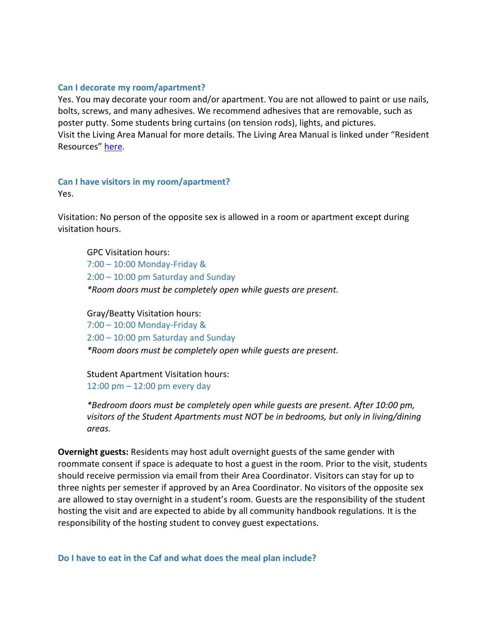# **Can I decorate my room/apartment?**

Yes. You may decorate your room and/or apartment. You are not allowed to paint or use nails, bolts, screws, and many adhesives. We recommend adhesives that are removable, such as poster putty. Some students bring curtains (on tension rods), lights, and pictures. Visit the Living Area Manual for more details. The Living Area Manual is linked under "Resident Resources" [here.](http://eagle.northwestu.edu/departments/housing/new-student-housing/)

# **Can I have visitors in my room/apartment?**

Yes.

Visitation: No person of the opposite sex is allowed in a room or apartment except during visitation hours.

GPC Visitation hours:

7:00 – 10:00 Monday-Friday & 2:00 – 10:00 pm Saturday and Sunday *\*Room doors must be completely open while guests are present.*

Gray/Beatty Visitation hours: 7:00 – 10:00 Monday-Friday & 2:00 – 10:00 pm Saturday and Sunday *\*Room doors must be completely open while guests are present.*

Student Apartment Visitation hours: 12:00 pm – 12:00 pm every day

*\*Bedroom doors must be completely open while guests are present. After 10:00 pm, visitors of the Student Apartments must NOT be in bedrooms, but only in living/dining areas.* 

**Overnight guests:** Residents may host adult overnight guests of the same gender with roommate consent if space is adequate to host a guest in the room. Prior to the visit, students should receive permission via email from their Area Coordinator. Visitors can stay for up to three nights per semester if approved by an Area Coordinator. No visitors of the opposite sex are allowed to stay overnight in a student's room. Guests are the responsibility of the student hosting the visit and are expected to abide by all community handbook regulations. It is the responsibility of the hosting student to convey guest expectations.

**Do I have to eat in the Caf and what does the meal plan include?**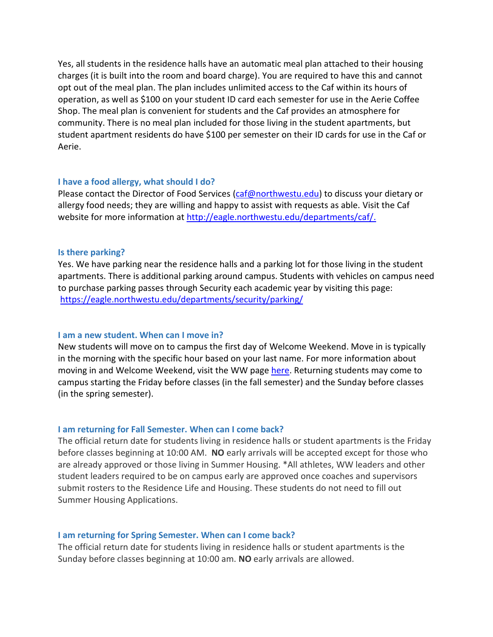Yes, all students in the residence halls have an automatic meal plan attached to their housing charges (it is built into the room and board charge). You are required to have this and cannot opt out of the meal plan. The plan includes unlimited access to the Caf within its hours of operation, as well as \$100 on your student ID card each semester for use in the Aerie Coffee Shop. The meal plan is convenient for students and the Caf provides an atmosphere for community. There is no meal plan included for those living in the student apartments, but student apartment residents do have \$100 per semester on their ID cards for use in the Caf or Aerie.

## **I have a food allergy, what should I do?**

Please contact the Director of Food Services [\(caf@northwestu.edu\)](mailto:caf@northwestu.edu) to discuss your dietary or allergy food needs; they are willing and happy to assist with requests as able. Visit the Caf website for more information at [http://eagle.northwestu.edu/departments/caf/.](http://eagle.northwestu.edu/departments/caf/)

#### **Is there parking?**

Yes. We have parking near the residence halls and a parking lot for those living in the student apartments. There is additional parking around campus. Students with vehicles on campus need to purchase parking passes through Security each academic year by visiting this page: <https://eagle.northwestu.edu/departments/security/parking/>

#### **I am a new student. When can I move in?**

New students will move on to campus the first day of Welcome Weekend. Move in is typically in the morning with the specific hour based on your last name. For more information about moving in and Welcome Weekend, visit the WW page [here.](https://www.northwestu.edu/orientation/) Returning students may come to campus starting the Friday before classes (in the fall semester) and the Sunday before classes (in the spring semester).

## **I am returning for Fall Semester. When can I come back?**

The official return date for students living in residence halls or student apartments is the Friday before classes beginning at 10:00 AM. **NO** early arrivals will be accepted except for those who are already approved or those living in Summer Housing. \*All athletes, WW leaders and other student leaders required to be on campus early are approved once coaches and supervisors submit rosters to the Residence Life and Housing. These students do not need to fill out Summer Housing Applications.

# **I am returning for Spring Semester. When can I come back?**

The official return date for students living in residence halls or student apartments is the Sunday before classes beginning at 10:00 am. **NO** early arrivals are allowed.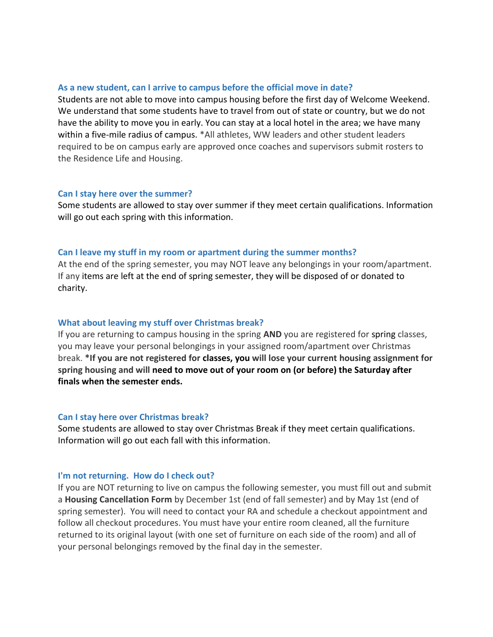## **As a new student, can I arrive to campus before the official move in date?**

Students are not able to move into campus housing before the first day of Welcome Weekend. We understand that some students have to travel from out of state or country, but we do not have the ability to move you in early. You can stay at a local hotel in the area; we have many within a five-mile radius of campus. \*All athletes, WW leaders and other student leaders required to be on campus early are approved once coaches and supervisors submit rosters to the Residence Life and Housing.

## **Can I stay here over the summer?**

Some students are allowed to stay over summer if they meet certain qualifications. Information will go out each spring with this information.

## **Can I leave my stuff in my room or apartment during the summer months?**

At the end of the spring semester, you may NOT leave any belongings in your room/apartment. If any items are left at the end of spring semester, they will be disposed of or donated to charity.

# **What about leaving my stuff over Christmas break?**

If you are returning to campus housing in the spring **AND** you are registered for spring classes, you may leave your personal belongings in your assigned room/apartment over Christmas break. **\*If you are not registered for classes, you will lose your current housing assignment for spring housing and will need to move out of your room on (or before) the Saturday after finals when the semester ends.**

# **Can I stay here over Christmas break?**

Some students are allowed to stay over Christmas Break if they meet certain qualifications. Information will go out each fall with this information.

#### **I'm not returning. How do I check out?**

If you are NOT returning to live on campus the following semester, you must fill out and submit a **Housing Cancellation Form** by December 1st (end of fall semester) and by May 1st (end of spring semester). You will need to contact your RA and schedule a checkout appointment and follow all checkout procedures. You must have your entire room cleaned, all the furniture returned to its original layout (with one set of furniture on each side of the room) and all of your personal belongings removed by the final day in the semester.